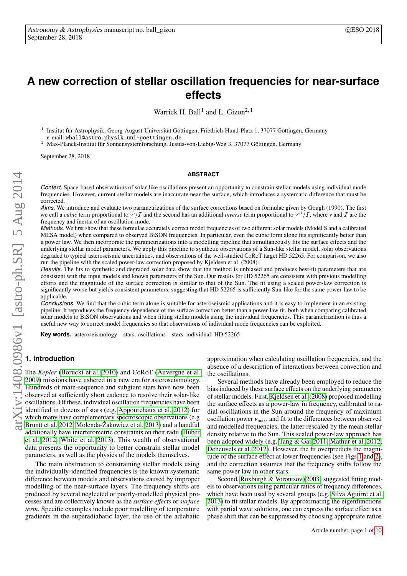# <span id="page-0-0"></span>**A new correction of stellar oscillation frequencies for near-surface effects**

Warrick H. Ball<sup>1</sup> and L. Gizon<sup>2, 1</sup>

1 Institut für Astrophysik, Georg-August-Universität Göttingen, Friedrich-Hund-Platz 1, 37077 Göttingen, Germany e-mail: wball@astro.physik.uni-goettingen.de

<sup>2</sup> Max-Planck-Institut für Sonnensystemforschung, Justus-von-Liebig-Weg 3, 37077 Göttingen, Germany

September 28, 2018

#### **ABSTRACT**

Context. Space-based observations of solar-like oscillations present an opportunity to constrain stellar models using individual mode frequencies. However, current stellar models are inaccurate near the surface, which introduces a systematic difference that must be corrected.

Aims. We introduce and evaluate two parametrizations of the surface corrections based on formulae given by Gough (1990). The first we call a *cubic* term proportional to  $v^3$ <br>frequency and inertia of an oscillation /*I* and the second has an additional *inverse* term proportional to  $v^{-1}/I$ , where v and *I* are the mode frequency and inertia of an oscillation mode.

Methods. We first show that these formulae accurately correct model frequencies of two different solar models (Model S and a calibrated MESA model) when compared to observed BiSON frequencies. In particular, even the cubic form alone fits significantly better than a power law. We then incorporate the parametrizations into a modelling pipeline that simultaneously fits the surface effects and the underlying stellar model parameters. We apply this pipeline to synthetic observations of a Sun-like stellar model, solar observations degraded to typical asteroseismic uncertainties, and observations of the well-studied CoRoT target HD 52265. For comparison, we also run the pipeline with the scaled power-law correction proposed by Kjeldsen et al. (2008).

Results. The fits to synthetic and degraded solar data show that the method is unbiased and produces best-fit parameters that are consistent with the input models and known parameters of the Sun. Our results for HD 52265 are consistent with previous modelling efforts and the magnitude of the surface correction is similar to that of the Sun. The fit using a scaled power-law correction is significantly worse but yields consistent parameters, suggesting that HD 52265 is sufficiently Sun-like for the same power-law to be applicable.

Conclusions. We find that the cubic term alone is suitable for asteroseismic applications and it is easy to implement in an existing pipeline. It reproduces the frequency dependence of the surface correction better than a power-law fit, both when comparing calibrated solar models to BiSON observations and when fitting stellar models using the individual frequencies. This parametrization is thus a useful new way to correct model frequencies so that observations of individual mode frequencies can be exploited.

**Key words.** asteroseismology – stars: oscillations – stars: individual: HD 52265

## **1. Introduction**

The *Kepler* [\(Borucki et al. 2010\)](#page-9-0) and CoRoT [\(Auvergne et al.](#page-9-1) [2009\)](#page-9-1) missions have ushered in a new era for asteroseismology. Hundreds of main-sequence and subgiant stars have now been observed at sufficiently short cadence to resolve their solar-like oscillations. Of these, individual oscillation frequencies have been identified in dozens of stars (e.g. [Appourchaux et al. 2012\)](#page-9-2) for which many have complementary spectroscopic observations (e.g [Bruntt et al. 2012;](#page-9-3) Molenda-Żakowicz et al. 2013) and a handful additionally have interferometric constraints on their radii [\(Huber](#page-9-5) [et al. 2012;](#page-9-5) [White et al. 2013\)](#page-9-6). This wealth of observational data presents the opportunity to better constrain stellar model parameters, as well as the physics of the models themselves.

The main obstruction to constraining stellar models using the individually-identified frequencies is the known systematic difference between models and observations caused by improper modelling of the near-surface layers. The frequency shifts are produced by several neglected or poorly-modelled physical processes and are collectively known as the *surface e*ff*ects* or *surface term*. Specific examples include poor modelling of temperature gradients in the superadiabatic layer, the use of the adiabatic

approximation when calculating oscillation frequencies, and the absence of a description of interactions between convection and the oscillations.

Several methods have already been employed to reduce the bias induced by these surface effects on the underlying parameters of stellar models. First, [Kjeldsen et al.](#page-9-7) [\(2008\)](#page-9-7) proposed modelling the surface effects as a power-law in frequency, calibrated to radial oscillations in the Sun around the frequency of maximum oscillation power  $v_{\text{max}}$ , and fit to the differences between observed and modelled frequencies, the latter rescaled by the mean stellar density relative to the Sun. This scaled power-law approach has been adopted widely (e.g. [Tang & Gai 2011;](#page-9-8) [Mathur et al. 2012;](#page-9-9) [Deheuvels et al. 2012\)](#page-9-10). However, the fit overpredicts the magnitude of the surface effect at lower frequencies (see Figs [1](#page-1-0) and [2\)](#page-1-1), and the correction assumes that the frequency shifts follow the same power law in other stars.

Second, [Roxburgh & Vorontsov](#page-9-11) [\(2003\)](#page-9-11) suggested fitting models to observations using particular ratios of frequency differences, which have been used by several groups (e.g. [Silva Aguirre et al.](#page-9-12) [2013\)](#page-9-12) to fit stellar models. By approximating the eigenfunctions with partial wave solutions, one can express the surface effect as a phase shift that can be suppressed by choosing appropriate ratios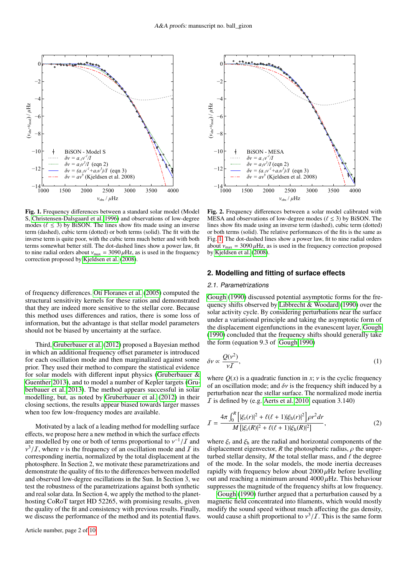

<span id="page-1-0"></span>Fig. 1. Frequency differences between a standard solar model (Model S, [Christensen-Dalsgaard et al. 1996\)](#page-9-13) and observations of low-degree modes ( $\ell \leq 3$ ) by BiSON. The lines show fits made using an inverse term (dashed), cubic term (dotted) or both terms (solid). The fit with the inverse term is quite poor, with the cubic term much better and with both terms somewhat better still. The dot-dashed lines show a power law, fit to nine radial orders about  $v_{\text{max}} = 3090 \,\mu \text{Hz}$ , as is used in the frequency correction proposed by [Kjeldsen et al.](#page-9-7) [\(2008\)](#page-9-7).

of frequency differences. [Otí Floranes et al.](#page-9-14) [\(2005\)](#page-9-14) computed the structural sensitivity kernels for these ratios and demonstrated that they are indeed more sensitive to the stellar core. Because this method uses differences and ratios, there is some loss of information, but the advantage is that stellar model parameters should not be biased by uncertainty at the surface.

Third, [Gruberbauer et al.](#page-9-15) [\(2012\)](#page-9-15) proposed a Bayesian method in which an additional frequency offset parameter is introduced for each oscillation mode and then marginalized against some prior. They used their method to compare the statistical evidence for solar models with different input physics [\(Gruberbauer &](#page-9-16) [Guenther 2013\)](#page-9-16), and to model a number of Kepler targets [\(Gru](#page-9-17)[berbauer et al. 2013\)](#page-9-17). The method appears successful in solar modelling, but, as noted by [Gruberbauer et al.](#page-9-15) [\(2012\)](#page-9-15) in their closing sections, the results appear biased towards larger masses when too few low-frequency modes are available.

Motivated by a lack of a leading method for modelling surface effects, we propose here a new method in which the surface effects are modelled by one or both of terms proportional to  $v^{-1}/I$  and  $v^3/I$  where v is the frequency of an oscillation mode and I its ν corresponding inertia, normalized by the total displacement at the  $\frac{3}{I}$ , where *v* is the frequency of an oscillation mode and *I* its orresponding inertia normalized by the total displacement at the photosphere. In Section 2, we motivate these parametrizations and demonstrate the quality of fits to the differences between modelled and observed low-degree oscillations in the Sun. In Section 3, we test the robustness of the parametrizations against both synthetic and real solar data. In Section 4, we apply the method to the planethosting CoRoT target HD 52265, with promising results, given the quality of the fit and consistency with previous results. Finally, we discuss the performance of the method and its potential flaws.



<span id="page-1-1"></span>Fig. 2. Frequency differences between a solar model calibrated with MESA and observations of low-degree modes ( $\ell \leq 3$ ) by BiSON. The lines show fits made using an inverse term (dashed), cubic term (dotted) or both terms (solid). The relative performances of the fits is the same as Fig. [1.](#page-1-0) The dot-dashed lines show a power law, fit to nine radial orders about  $v_{\text{max}} = 3090 \,\mu\text{Hz}$ , as is used in the frequency correction proposed by [Kjeldsen et al.](#page-9-7) [\(2008\)](#page-9-7).

## **2. Modelling and fitting of surface effects**

#### 2.1. Parametrizations

[Gough](#page-9-18) [\(1990\)](#page-9-18) discussed potential asymptotic forms for the frequency shifts observed by [Libbrecht & Woodard](#page-9-19) [\(1990\)](#page-9-19) over the solar activity cycle. By considering perturbations near the surface under a variational principle and taking the asymptotic form of the displacement eigenfunctions in the evanescent layer, [Gough](#page-9-18) [\(1990\)](#page-9-18) concluded that the frequency shifts should generally take the form (equation 9.3 of [Gough 1990\)](#page-9-18)

$$
\delta v \propto \frac{Q(v^2)}{vI},\tag{1}
$$

where  $Q(x)$  is a quadratic function in x;  $\nu$  is the cyclic frequency of an oscillation mode; and  $\delta v$  is the frequency shift induced by a perturbation near the stellar surface. The normalized mode inertia  $\overline{I}$  is defined by (e.g. [Aerts et al. 2010,](#page-8-0) equation 3.140)

$$
I = \frac{4\pi \int_0^R \left[ |\xi_r(r)|^2 + \ell(\ell+1)|\xi_h(r)|^2 \right] \rho r^2 dr}{M \left[ |\xi_r(R)|^2 + \ell(\ell+1)|\xi_h(R)|^2 \right]},
$$
(2)

where  $\xi$ <sub>r</sub> and  $\xi$ <sub>h</sub> are the radial and horizontal components of the displacement eigenvector, *R* the photospheric radius,  $\rho$  the unperturbed stellar density,  $M$  the total stellar mass, and  $\ell$  the degree of the mode. In the solar models, the mode inertia decreases rapidly with frequency below about  $2000 \mu$ Hz before levelling out and reaching a minimum around  $4000 \mu$ Hz. This behaviour suppresses the magnitude of the frequency shifts at low frequency.

[Gough](#page-9-18) [\(1990\)](#page-9-18) further argued that a perturbation caused by a magnetic field concentrated into filaments, which would mostly modify the sound speed without much affecting the gas density, would cause a shift proportional to  $v^3/I$ . This is the same form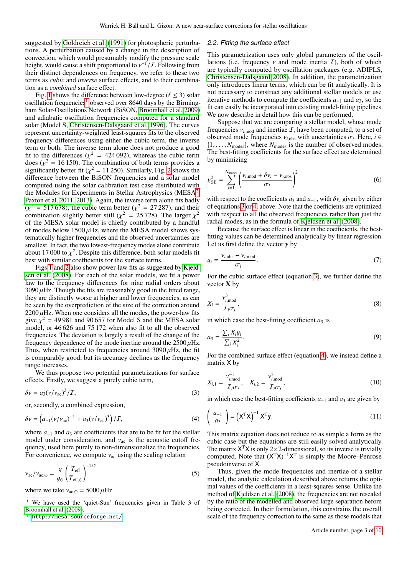suggested by [Goldreich et al.](#page-9-20) [\(1991\)](#page-9-20) for photospheric perturbations. A perturbation caused by a change in the description of convection, which would presumably modify the pressure scale height, would cause a shift proportional to  $v^{-1}/I$ . Following from<br>their distinct dependences on frequency, we refer to these two their distinct dependences on frequency, we refer to these two terms as *cubic* and *inverse* surface effects, and to their combination as a *combined* surface effect.

Fig. [1](#page-1-0) shows the difference between low-degree ( $\ell \leq 3$ ) solar oscillation frequencies<sup>[1](#page-2-0)</sup> observed over 8640 days by the Birmingham Solar-Oscillations Network (BiSON, [Broomhall et al. 2009\)](#page-9-21) and adiabatic oscillation frequencies computed for a standard solar (Model S, [Christensen-Dalsgaard et al. 1996\)](#page-9-13). The curves represent uncertainty-weighted least-squares fits to the observed frequency differences using either the cubic term, the inverse term or both. The inverse term alone does not produce a good fit to the differences ( $\chi^2 = 424\,092$ ), whereas the cubic term<br>does ( $\chi^2 = 16\,150$ ). The combination of both terms provides a does ( $\chi^2 = 16\,150$ ). The combination of both terms provides a significantly better fit ( $\chi^2 = 11\,250$ ). Similarly, Fig. 2 shows the significantly better fit ( $\chi^2 = 11\,250$ ). Similarly, Fig. [2](#page-1-1) shows the difference between the BiSON frequencies and a solar model difference between the BiSON frequencies and a solar model computed using the solar calibration test case distributed with the Modules for Experiments in Stellar Astrophysics (MESA<sup>[2](#page-2-1)</sup>, [Paxton et al. 2011,](#page-9-22) [2013\)](#page-9-23). Again, the inverse term alone fits badly  $(\chi^2 = 517\,678)$ , the cubic term better  $(\chi^2 = 27\,287)$ , and their combination slightly better still  $(\chi^2 = 25\,728)$ . The larger  $\chi^2$ combination slightly better still ( $\chi^2 = 25728$ ). The larger  $\chi^2$ <br>of the MESA solar model is chiefly contributed by a handful of the MESA solar model is chiefly contributed by a handful of modes below  $1500 \mu$ Hz, where the MESA model shows systematically higher frequencies and the observed uncertainties are smallest. In fact, the two lowest-frequency modes alone contribute about 17 000 to  $\chi^2$ . Despite this difference, both solar models fit<br>best with similar coefficients for the surface terms best with similar coefficients for the surface terms.

Figs [1](#page-1-0) and [2](#page-1-1) also show power-law fits as suggested by [Kjeld](#page-9-7)[sen et al.](#page-9-7) [\(2008\)](#page-9-7). For each of the solar models, we fit a power law to the frequency differences for nine radial orders about  $3090 \mu$ Hz. Though the fits are reasonably good in the fitted range, they are distinctly worse at higher and lower frequencies, as can be seen by the overprediction of the size of the correction around  $2200 \mu$ Hz. When one considers all the modes, the power-law fits give  $\chi^2$  = 49 981 and 90 657 for Model S and the MESA solar model or 46.626 and 75.172 when also fit to all the observed model, or 46 626 and 75 172 when also fit to all the observed frequencies. The deviation is largely a result of the change of the frequency dependence of the mode inertiae around the  $2500 \mu$ Hz. Thus, when restricted to frequencies around  $3090 \mu$ Hz, the fit is comparably good, but its accuracy declines as the frequency range increases.

We thus propose two potential parametrizations for surface effects. Firstly, we suggest a purely cubic term,

$$
\delta v = a_3 (v/v_{ac})^3 / I,
$$
\n(3)

or, secondly, a combined expression,

$$
\delta v = \left( a_{-1} (v/v_{ac})^{-1} + a_3 (v/v_{ac})^3 \right) / \mathcal{I}, \tag{4}
$$

where  $a_{-1}$  and  $a_3$  are coefficients that are to be fit for the stellar model under consideration, and  $v_{ac}$  is the acoustic cutoff frequency, used here purely to non-dimensionalize the frequencies. For convenience, we compute  $v_{ac}$  using the scaling relation

$$
\nu_{\rm ac}/\nu_{\rm ac,\odot} = \frac{g}{g_{\odot}} \left(\frac{T_{\rm eff}}{T_{\rm eff,\odot}}\right)^{-1/2} \tag{5}
$$

where we take  $v_{\text{ac},\odot} = 5000 \,\mu \text{Hz}$ .

#### 2.2. Fitting the surface effect

This parametrization uses only global parameters of the oscillations (i.e. frequency  $\nu$  and mode inertia  $\mathcal{I}$ ), both of which are typically computed by oscillation packages (e.g. ADIPLS, [Christensen-Dalsgaard 2008\)](#page-9-24). In addition, the parametrization only introduces linear terms, which can be fit analytically. It is not necessary to construct any additional stellar models or use iterative methods to compute the coefficients *a*−<sup>1</sup> and *a*3, so the fit can easily be incorporated into existing model-fitting pipelines. We now describe in detail how this can be performed.

Suppose that we are comparing a stellar model, whose mode frequencies  $v_{i,\text{mod}}$  and inertiae  $\mathcal{I}_i$  have been computed, to a set of observed mode frequencies  $v_{i,obs}$  with uncertainties  $\sigma_i$ . Here, *i* ∈ {1}  $N_{\text{model}}$ } where  $N_{\text{model}}$  is the number of observed modes  $\{1, \ldots, N_{\text{modes}}\}$ , where  $N_{\text{modes}}$  is the number of observed modes. The best-fitting coefficients for the surface effect are determined by minimizing

$$
\chi_{\rm SE}^2 = \sum_{i=1}^{N_{\rm modes}} \left( \frac{\nu_{i,\rm mod} + \delta \nu_i - \nu_{i,\rm obs}}{\sigma_i} \right)^2 \tag{6}
$$

with respect to the coefficients  $a_3$  and  $a_{-1}$ , with  $\delta v_i$  given by either of equations [3](#page-2-2) or [4,](#page-2-3) above. Note that the coefficients are optimized with respect to all the observed frequencies rather than just the radial modes, as in the formula of [Kjeldsen et al.](#page-9-7) [\(2008\)](#page-9-7).

Because the surface effect is linear in the coefficients, the bestfitting values can be determined analytically by linear regression. Let us first define the vector y by

$$
y_i = \frac{v_{i,obs} - v_{i,\text{mod}}}{\sigma_i}.
$$
 (7)

For the cubic surface effect (equation [3\)](#page-2-2), we further define the vector  $X$  by

$$
X_i = \frac{v_{i,\text{mod}}^3}{T_i \sigma_i},\tag{8}
$$

in which case the best-fitting coefficient  $a_3$  is

$$
a_3 = \frac{\sum_i X_i y_i}{\sum_i X_i^2}.
$$
\n(9)

For the combined surface effect (equation [4\)](#page-2-3), we instead define a matrix X by

<span id="page-2-2"></span>
$$
X_{i,1} = \frac{v_{i,\text{mod}}^{-1}}{T_i \sigma_i}, \quad X_{i,2} = \frac{v_{i,\text{mod}}^3}{T_i \sigma_i},
$$
\n(10)

<span id="page-2-3"></span>in which case the best-fitting coefficients *a*<sup>−</sup><sup>1</sup> and *a*<sup>3</sup> are given by

$$
\begin{pmatrix} a_{-1} \\ a_3 \end{pmatrix} = (\mathbf{X}^{\mathrm{T}} \mathbf{X})^{-1} \mathbf{X}^{\mathrm{T}} \mathbf{y}.
$$
 (11)

This matrix equation does not reduce to as simple a form as the cubic case but the equations are still easily solved analytically. The matrix  $X<sup>T</sup>X$  is only 2×2-dimensional, so its inverse is trivially computed. Note that  $(X<sup>T</sup>X)^{-1}X<sup>T</sup>$  is simply the Moore–Penrose pseudoinverse of X.

Thus, given the mode frequencies and inertiae of a stellar model, the analytic calculation described above returns the optimal values of the coefficients in a least-squares sense. Unlike the method of [Kjeldsen et al.](#page-9-7) [\(2008\)](#page-9-7), the frequencies are not rescaled by the ratio of the modelled and observed large separation before being corrected. In their formulation, this constrains the overall scale of the frequency correction to the same as those models that

<span id="page-2-0"></span><sup>&</sup>lt;sup>1</sup> We have used the 'quiet-Sun' frequencies given in Table 3 of [Broomhall et al.](#page-9-21) [\(2009\)](#page-9-21).

<span id="page-2-1"></span><sup>2</sup> <http://mesa.sourceforge.net/>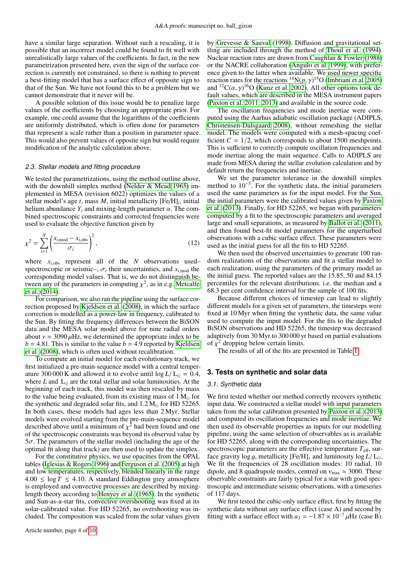have a similar large separation. Without such a rescaling, it is possible that an incorrect model could be found to fit well with unrealistically large values of the coefficients. In fact, in the new parametrization presented here, even the sign of the surface correction is currently not constrained, so there is nothing to prevent a best-fitting model that has a surface effect of opposite sign to that of the Sun. We have not found this to be a problem but we cannot demonstrate that it never will be.

A possible solution of this issue would be to penalize large values of the coefficients by choosing an appropriate prior. For example, one could assume that the logarithms of the coefficients are uniformly distributed, which is often done for parameters that represent a scale rather than a position in parameter space. This would also prevent values of opposite sign but would require modification of the analytic calculation above.

## 2.3. Stellar models and fitting procedure

We tested the parametrizations, using the method outline above, with the downhill simplex method [\(Nelder & Mead 1965\)](#page-9-25) implemented in MESA (revision 6022) optimizes the values of a stellar model's age *t*, mass *M*, initial metallicity [Fe/H]*<sup>i</sup>* , initial helium abundance  $Y_i$  and mixing-length parameter  $\alpha$ . The combined spectroscopic constraints and corrected frequencies were used to evaluate the objective function given by

$$
\chi^2 = \sum_{i=1}^N \left( \frac{x_{i,\text{mod}} - x_{i,\text{obs}}}{\sigma_i} \right)^2,\tag{12}
$$

where  $x_{i,obs}$  represent all of the *N* observations used– spectroscopic or seismic–,  $\sigma_i$  their uncertainties, and  $x_{i,\text{mod}}$  the corresponding model values. That is we do not distinguish becorresponding model values. That is, we do not distinguish between any of the parameters in computing  $\chi^2$ , as in e.g. [Metcalfe](#page-9-26)<br>et al. (2014) [et al.](#page-9-26) [\(2014\)](#page-9-26).

For comparison, we also ran the pipeline using the surface correction proposed by [Kjeldsen et al.](#page-9-7) [\(2008\)](#page-9-7), in which the surface correction is modelled as a power-law in frequency, calibrated to the Sun. By fitting the frequency differences between the BiSON data and the MESA solar model above for nine radial orders about  $v = 3090 \mu$ Hz, we determined the appropriate index to be  $b = 4.81$ . This is similar to the value  $b = 4.9$  reported by [Kjeldsen](#page-9-7) [et al.](#page-9-7) [\(2008\)](#page-9-7), which is often used without recalibration.

To compute an initial model for each evolutionary track, we first initialized a pre-main-sequence model with a central temperature 300 000 K and allowed it to evolve until  $\log L/L_{\odot} = 0.4$ , where  $L$  and  $L_{\odot}$  are the total stellar and solar luminosities. At the beginning of each track, this model was then rescaled by mass to the value being evaluated, from its existing mass of  $1 M_{\odot}$  for the synthetic and degraded solar fits, and  $1.2 M_{\odot}$  for HD 52265. In both cases, these models had ages less than 2 Myr. Stellar models were evolved starting from the pre-main-sequence model described above until a minimum of  $\chi^2$  had been found and one<br>of the spectroscopic constraints was beyond its observed value by of the spectroscopic constraints was beyond its observed value by  $5\sigma$ . The parameters of the stellar model (including the age of the optimal fit along that track) are then used to update the simplex.

For the constitutive physics, we use opacities from the OPAL tables [\(Iglesias & Rogers 1996\)](#page-9-27) and [Ferguson et al.](#page-9-28) [\(2005\)](#page-9-28) at high and low temperatures, respectively, blended linearly in the range  $4.00 \leq \log T \leq 4.10$ . A standard Eddington grey atmosphere is employed and convective processes are described by mixinglength theory according to [Henyey et al.](#page-9-29) [\(1965\)](#page-9-29). In the synthetic and Sun-as-a-star fits, convective overshooting was fixed at its solar-calibrated value. For HD 52265, no overshooting was included. The composition was scaled from the solar values given

by [Grevesse & Sauval](#page-9-30) [\(1998\)](#page-9-30). Diffusion and gravitational settling are included through the method of [Thoul et al.](#page-9-31) [\(1994\)](#page-9-31). Nuclear reaction rates are drawn from [Caughlan & Fowler](#page-9-32) [\(1988\)](#page-9-32) or the NACRE collaboration [\(Angulo et al. 1999\)](#page-8-1), with preference given to the latter when available. We used newer specific reaction rates for the reactions  ${}^{14}N(p,\gamma)^{15}O$  [\(Imbriani et al. 2005\)](#page-9-33)<br>and  ${}^{12}C(\alpha \gamma)^{16}O$  (Kunz et al. 2002). All other options took deand <sup>12</sup>C( $\alpha$ ,  $\gamma$ <sup>16</sup>O [\(Kunz et al. 2002\)](#page-9-34). All other options took default values which are described in the MESA instrument papers fault values, which are described in the MESA instrument papers [\(Paxton et al. 2011,](#page-9-22) [2013\)](#page-9-23) and available in the source code.

The oscillation frequencies and mode inertiae were computed using the Aarhus adiabatic oscillation package (ADIPLS, [Christensen-Dalsgaard 2008\)](#page-9-24), without remeshing the stellar model. The models were computed with a mesh-spacing coefficient  $C = 1/2$ , which corresponds to about 1500 meshpoints. This is sufficient to correctly compute oscillation frequencies and mode inertiae along the main sequence. Calls to ADIPLS are made from MESA during the stellar evolution calculation and by default return the frequencies and inertiae.

We set the parameter tolerance in the downhill simplex method to 10<sup>−</sup><sup>5</sup> . For the synthetic data, the initial parameters used the same parameters as for the input model. For the Sun, the initial parameters were the calibrated values given by [Paxton](#page-9-23) [et al.](#page-9-23) [\(2013\)](#page-9-23). Finally, for HD 52265, we began with parameters computed by a fit to the spectroscopic parameters and averaged large and small separations, as measured by [Ballot et al.](#page-9-35) [\(2011\)](#page-9-35), and then found best-fit model parameters for the unperturbed observations with a cubic surface effect. These parameters were used as the initial guess for all the fits to HD 52265.

We then used the observed uncertainties to generate 100 random realizations of the observations and fit a stellar model to each realization, using the parameters of the primary model as the initial guess. The reported values are the <sup>15</sup>.85, <sup>50</sup> and <sup>84</sup>.<sup>15</sup> percentiles for the relevant distributions. i.e. the median and a <sup>68</sup>.3 per cent confidence interval for the sample of 100 fits.

Because different choices of timestep can lead to slightly different models for a given set of parameters, the timesteps were fixed at 10 Myr when fitting the synthetic data, the same value used to compute the input model. For the fits to the degraded BiSON observations and HD 52265, the timestep was decreased adaptively from 30 Myr to 300 000 yr based on partial evaluations of  $\chi^2$  dropping below certain limits.<br>The results of all of the fits are r

The results of all of the fits are presented in Table [1.](#page-4-0)

## **3. Tests on synthetic and solar data**

#### 3.1. Synthetic data

We first tested whether our method correctly recovers synthetic input data. We constructed a stellar model with input parameters taken from the solar calibration presented by [Paxton et al.](#page-9-23) [\(2013\)](#page-9-23) and computed its oscillation frequencies and mode inertiae. We then used its observable properties as inputs for our modelling pipeline, using the same selection of observables as is available for HD 52265, along with the corresponding uncertainties. The spectroscopic parameters are the effective temperature  $T_{\text{eff}}$ , surface gravity  $\log q$ , metallicity  $[Fe/H]_s$  and luminosity  $\log L/L_{\odot}$ . We fit the frequencies of 28 oscillation modes: 10 radial, 10 dipole, and 8 quadrupole modes, centred on  $v_{\text{max}} \approx 3000$ . These observable constraints are fairly typical for a star with good spectroscopic and intermediate seismic observations, with a timeseries of 117 days.

We first tested the cubic-only surface effect, first by fitting the synthetic data without any surface effect (case A) and second by fitting with a surface effect with  $a_3 = -1.87 \times 10^{-7} \mu$ Hz (case B).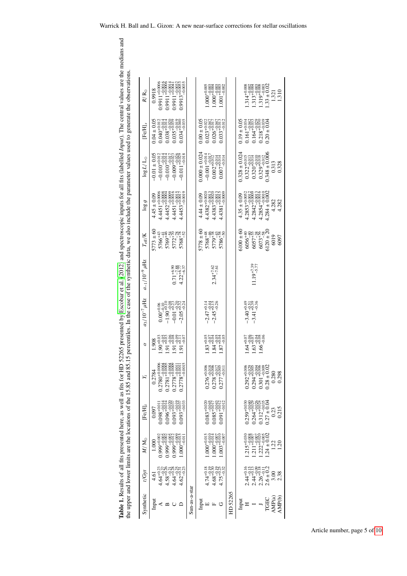<span id="page-4-0"></span>

| r<br>C                                                                                                                                                                                                                               |                                                                                                                                                                                                                                                                                                                                                                                                                                                                                                                                                                                                                                                                               |
|--------------------------------------------------------------------------------------------------------------------------------------------------------------------------------------------------------------------------------------|-------------------------------------------------------------------------------------------------------------------------------------------------------------------------------------------------------------------------------------------------------------------------------------------------------------------------------------------------------------------------------------------------------------------------------------------------------------------------------------------------------------------------------------------------------------------------------------------------------------------------------------------------------------------------------|
|                                                                                                                                                                                                                                      |                                                                                                                                                                                                                                                                                                                                                                                                                                                                                                                                                                                                                                                                               |
| a tha ann a duan                                                                                                                                                                                                                     |                                                                                                                                                                                                                                                                                                                                                                                                                                                                                                                                                                                                                                                                               |
|                                                                                                                                                                                                                                      |                                                                                                                                                                                                                                                                                                                                                                                                                                                                                                                                                                                                                                                                               |
|                                                                                                                                                                                                                                      |                                                                                                                                                                                                                                                                                                                                                                                                                                                                                                                                                                                                                                                                               |
|                                                                                                                                                                                                                                      |                                                                                                                                                                                                                                                                                                                                                                                                                                                                                                                                                                                                                                                                               |
|                                                                                                                                                                                                                                      |                                                                                                                                                                                                                                                                                                                                                                                                                                                                                                                                                                                                                                                                               |
|                                                                                                                                                                                                                                      |                                                                                                                                                                                                                                                                                                                                                                                                                                                                                                                                                                                                                                                                               |
|                                                                                                                                                                                                                                      |                                                                                                                                                                                                                                                                                                                                                                                                                                                                                                                                                                                                                                                                               |
|                                                                                                                                                                                                                                      |                                                                                                                                                                                                                                                                                                                                                                                                                                                                                                                                                                                                                                                                               |
|                                                                                                                                                                                                                                      |                                                                                                                                                                                                                                                                                                                                                                                                                                                                                                                                                                                                                                                                               |
| $\ddot{\phantom{a}}$<br>l                                                                                                                                                                                                            |                                                                                                                                                                                                                                                                                                                                                                                                                                                                                                                                                                                                                                                                               |
| F                                                                                                                                                                                                                                    | $\frac{1}{2}$                                                                                                                                                                                                                                                                                                                                                                                                                                                                                                                                                                                                                                                                 |
|                                                                                                                                                                                                                                      | į                                                                                                                                                                                                                                                                                                                                                                                                                                                                                                                                                                                                                                                                             |
|                                                                                                                                                                                                                                      |                                                                                                                                                                                                                                                                                                                                                                                                                                                                                                                                                                                                                                                                               |
|                                                                                                                                                                                                                                      |                                                                                                                                                                                                                                                                                                                                                                                                                                                                                                                                                                                                                                                                               |
|                                                                                                                                                                                                                                      |                                                                                                                                                                                                                                                                                                                                                                                                                                                                                                                                                                                                                                                                               |
|                                                                                                                                                                                                                                      |                                                                                                                                                                                                                                                                                                                                                                                                                                                                                                                                                                                                                                                                               |
| <b>Norman 1110</b>                                                                                                                                                                                                                   |                                                                                                                                                                                                                                                                                                                                                                                                                                                                                                                                                                                                                                                                               |
|                                                                                                                                                                                                                                      |                                                                                                                                                                                                                                                                                                                                                                                                                                                                                                                                                                                                                                                                               |
|                                                                                                                                                                                                                                      | )<br>}                                                                                                                                                                                                                                                                                                                                                                                                                                                                                                                                                                                                                                                                        |
|                                                                                                                                                                                                                                      |                                                                                                                                                                                                                                                                                                                                                                                                                                                                                                                                                                                                                                                                               |
|                                                                                                                                                                                                                                      |                                                                                                                                                                                                                                                                                                                                                                                                                                                                                                                                                                                                                                                                               |
|                                                                                                                                                                                                                                      |                                                                                                                                                                                                                                                                                                                                                                                                                                                                                                                                                                                                                                                                               |
| j                                                                                                                                                                                                                                    |                                                                                                                                                                                                                                                                                                                                                                                                                                                                                                                                                                                                                                                                               |
| į                                                                                                                                                                                                                                    |                                                                                                                                                                                                                                                                                                                                                                                                                                                                                                                                                                                                                                                                               |
|                                                                                                                                                                                                                                      |                                                                                                                                                                                                                                                                                                                                                                                                                                                                                                                                                                                                                                                                               |
|                                                                                                                                                                                                                                      | cent centre concerned come of the control<br>vuuu. wv uus                                                                                                                                                                                                                                                                                                                                                                                                                                                                                                                                                                                                                     |
|                                                                                                                                                                                                                                      |                                                                                                                                                                                                                                                                                                                                                                                                                                                                                                                                                                                                                                                                               |
|                                                                                                                                                                                                                                      |                                                                                                                                                                                                                                                                                                                                                                                                                                                                                                                                                                                                                                                                               |
|                                                                                                                                                                                                                                      |                                                                                                                                                                                                                                                                                                                                                                                                                                                                                                                                                                                                                                                                               |
| <b>Marine Community of the South State of the South State of the South State of the South State of the South State of the South State of the South State of the South State of the South State of the South State of the South S</b> |                                                                                                                                                                                                                                                                                                                                                                                                                                                                                                                                                                                                                                                                               |
|                                                                                                                                                                                                                                      |                                                                                                                                                                                                                                                                                                                                                                                                                                                                                                                                                                                                                                                                               |
|                                                                                                                                                                                                                                      | is and                                                                                                                                                                                                                                                                                                                                                                                                                                                                                                                                                                                                                                                                        |
|                                                                                                                                                                                                                                      |                                                                                                                                                                                                                                                                                                                                                                                                                                                                                                                                                                                                                                                                               |
| ļ<br>ׅ֧ׅ֧ׅ֧֧֧ׅ֧֧֦֧֧֛ׅ֧֧֧֧֧֪ׅ֧֚֚֚֚֚֚֚֚֚֚֚֚֚֚֚֚֚֚֚֚֚֚֚֚֚֚֚֚֚֚֚֚֚֕֝֘֝֕֝֝֝֝֝֝֓֝֬֝֝֝֝֜֝֝֬֝֬֝֞                                                                                                                                             |                                                                                                                                                                                                                                                                                                                                                                                                                                                                                                                                                                                                                                                                               |
|                                                                                                                                                                                                                                      |                                                                                                                                                                                                                                                                                                                                                                                                                                                                                                                                                                                                                                                                               |
|                                                                                                                                                                                                                                      | $c$ entiles.                                                                                                                                                                                                                                                                                                                                                                                                                                                                                                                                                                                                                                                                  |
|                                                                                                                                                                                                                                      | <b>STRIPS</b>                                                                                                                                                                                                                                                                                                                                                                                                                                                                                                                                                                                                                                                                 |
| ֧֦֦֧֦֧֦֧֦֧֦֧֦֧֧֦֧ׅ֦֧֦֧֚֞֝֝֝֬֜֓֓֝֬֜֝֓֜֓֞֡                                                                                                                                                                                             |                                                                                                                                                                                                                                                                                                                                                                                                                                                                                                                                                                                                                                                                               |
| )<br>1<br>1                                                                                                                                                                                                                          |                                                                                                                                                                                                                                                                                                                                                                                                                                                                                                                                                                                                                                                                               |
| $\frac{1}{2}$                                                                                                                                                                                                                        |                                                                                                                                                                                                                                                                                                                                                                                                                                                                                                                                                                                                                                                                               |
|                                                                                                                                                                                                                                      |                                                                                                                                                                                                                                                                                                                                                                                                                                                                                                                                                                                                                                                                               |
|                                                                                                                                                                                                                                      |                                                                                                                                                                                                                                                                                                                                                                                                                                                                                                                                                                                                                                                                               |
|                                                                                                                                                                                                                                      | G⊆                                                                                                                                                                                                                                                                                                                                                                                                                                                                                                                                                                                                                                                                            |
|                                                                                                                                                                                                                                      |                                                                                                                                                                                                                                                                                                                                                                                                                                                                                                                                                                                                                                                                               |
|                                                                                                                                                                                                                                      |                                                                                                                                                                                                                                                                                                                                                                                                                                                                                                                                                                                                                                                                               |
|                                                                                                                                                                                                                                      |                                                                                                                                                                                                                                                                                                                                                                                                                                                                                                                                                                                                                                                                               |
|                                                                                                                                                                                                                                      |                                                                                                                                                                                                                                                                                                                                                                                                                                                                                                                                                                                                                                                                               |
|                                                                                                                                                                                                                                      |                                                                                                                                                                                                                                                                                                                                                                                                                                                                                                                                                                                                                                                                               |
|                                                                                                                                                                                                                                      |                                                                                                                                                                                                                                                                                                                                                                                                                                                                                                                                                                                                                                                                               |
|                                                                                                                                                                                                                                      |                                                                                                                                                                                                                                                                                                                                                                                                                                                                                                                                                                                                                                                                               |
|                                                                                                                                                                                                                                      |                                                                                                                                                                                                                                                                                                                                                                                                                                                                                                                                                                                                                                                                               |
|                                                                                                                                                                                                                                      | $\begin{array}{c} \mathcal{L} \rightarrow \mathcal{L} \rightarrow \mathcal{L} \rightarrow \mathcal{L} \rightarrow \mathcal{L} \rightarrow \mathcal{L} \rightarrow \mathcal{L} \rightarrow \mathcal{L} \rightarrow \mathcal{L} \rightarrow \mathcal{L} \rightarrow \mathcal{L} \rightarrow \mathcal{L} \rightarrow \mathcal{L} \rightarrow \mathcal{L} \rightarrow \mathcal{L} \rightarrow \mathcal{L} \rightarrow \mathcal{L} \rightarrow \mathcal{L} \rightarrow \mathcal{L} \rightarrow \mathcal{L} \rightarrow \mathcal{L} \rightarrow \mathcal{L} \rightarrow \mathcal{L} \rightarrow \mathcal{L} \rightarrow \mathcal{L} \rightarrow \mathcal{L} \rightarrow \mathcal{L$ |
|                                                                                                                                                                                                                                      |                                                                                                                                                                                                                                                                                                                                                                                                                                                                                                                                                                                                                                                                               |
|                                                                                                                                                                                                                                      |                                                                                                                                                                                                                                                                                                                                                                                                                                                                                                                                                                                                                                                                               |
|                                                                                                                                                                                                                                      |                                                                                                                                                                                                                                                                                                                                                                                                                                                                                                                                                                                                                                                                               |
|                                                                                                                                                                                                                                      |                                                                                                                                                                                                                                                                                                                                                                                                                                                                                                                                                                                                                                                                               |
| ļ                                                                                                                                                                                                                                    |                                                                                                                                                                                                                                                                                                                                                                                                                                                                                                                                                                                                                                                                               |
|                                                                                                                                                                                                                                      |                                                                                                                                                                                                                                                                                                                                                                                                                                                                                                                                                                                                                                                                               |
|                                                                                                                                                                                                                                      | )<br>}                                                                                                                                                                                                                                                                                                                                                                                                                                                                                                                                                                                                                                                                        |
|                                                                                                                                                                                                                                      |                                                                                                                                                                                                                                                                                                                                                                                                                                                                                                                                                                                                                                                                               |

| presented by Escobar et al. (2012) and spectroscopic inputs for all fits (labelled $lnput$ ). The central values are the medians and                                                       |                           |                                                                                                                                                             |                                                                                                                                                     |               |                                                                                                                                                            |          |                                                                                                                                                                                                                                 |
|--------------------------------------------------------------------------------------------------------------------------------------------------------------------------------------------|---------------------------|-------------------------------------------------------------------------------------------------------------------------------------------------------------|-----------------------------------------------------------------------------------------------------------------------------------------------------|---------------|------------------------------------------------------------------------------------------------------------------------------------------------------------|----------|---------------------------------------------------------------------------------------------------------------------------------------------------------------------------------------------------------------------------------|
|                                                                                                                                                                                            | $R/R_{\odot}$             | $0.9911 + 0.0006$<br>0.9010-110006<br>0.000-110006<br>0.9918                                                                                                | $0.9911 + 0.0041$<br>$0.9913_{-0.0033}^{+1.0.0032}$                                                                                                 |               | $\begin{array}{c} 1.000^{+0.005}_{-0.003} \\ 1.000^{+0.003}_{-0.003} \\ 1.000^{+0.003}_{-0.003} \\ 1.001^{+0.003}_{-0.002} \end{array}$                    |          | $1.33 \pm 0.02$<br>$\begin{array}{l} 1.314^{+0.008}_{-0.003} \\ 1.313^{+0.003}_{-0.003} \\ 1.313^{+0.003}_{-0.003} \\ 1.319^{+0.003}_{-0.003} \end{array}$<br>1.310<br>1.321                                                    |
|                                                                                                                                                                                            | ${\rm [Fe/H]}_{\rm s}$    | $0.04 \pm 0.05$<br>$\begin{array}{c} 0.040^{+0.012}_{-0.014} \\ 0.038^{+0.014}_{-0.029} \\ 0.035^{+0.0139}_{-0.039} \\ 0.035^{+0.010}_{-0.010} \end{array}$ | 0.034+0.035<br>0.034+0.035                                                                                                                          |               | $0.00 \pm 0.05$<br>$\begin{array}{c} 0.023^{+0.022}_{-0.047} \\ 0.026^{+0.017}_{-0.047} \\ 0.026^{+0.013}_{-0.013} \\ 0.033^{+0.013}_{-0.012} \end{array}$ |          | $0.19 \pm 0.05$<br>$\begin{array}{c} 0.161\textcolor{red}{+0.034}\\ 0.164\textcolor{red}{+0.033}\\ 0.164\textcolor{red}{+0.033}\\ 0.164\textcolor{red}{+0.033}\\ 0.218\textcolor{red}{+0.039}\\ \end{array}$<br>$0.20 \pm 0.04$ |
| the upper and lower limits are the locations of the 15.85 and 85.15 percentiles. In the case of the synthetic data, we also include the parameter values used to generate the observations | $\log L/L_{\odot}$        | $-0.01 \pm 0.05$                                                                                                                                            | $\begin{array}{r} -0.010^{+0.012}_{-0.014} \\ -0.010^{+0.014}_{-0.0124} \\ -0.010^{+0.023}_{-0.023} \\ -0.009^{+0.023}_{-0.018} \\ \end{array}$     |               | $0.000 \pm 0.024$<br>$-0.001_{-0.017}^{+0.014}$<br>0.002+0.012<br>$0.007_{-0.014}^{+0.014}$                                                                |          | $0.328 \pm 0.024$<br>$0.348 \pm 0.006$<br>$0.322_{-0.013}^{+0.015}$<br>$0.320_{-0.014}^{+0.013}$<br>0.329-0.012<br>0.329-0.012<br>0.313<br>0.328                                                                                |
|                                                                                                                                                                                            | $\frac{1}{6}$             | $4.4451_{-0.0004}^{+0.0006}$<br>$4.4452_{-0.0004}^{+0.0004}$<br>$4.45 \pm 0.09$                                                                             | $+4453^{+0.0015}_{-0.0019}$<br>$4.4451^{+0.00016}_{+0.0016}$                                                                                        |               | $4.4382^{+0.0020}_{-0.0013}$<br>$4.4383^{+0.0020}_{-0.0013}$<br>$4.4383^{+0.00033}_{-0.0013}$<br>$4.44 \pm 0.09$                                           |          | $\begin{array}{c} 4.2853 + 0.0052 \\ 4.2853 - 0.0003 \\ 4.2842 + 0.0003 \\ 4.2854 - 0.0010 \\ 4.2854 + 0.0010 \\ 0.0010 \\ 4.284 + 0.0012 \end{array}$<br>$4.35 \pm 0.09$<br>4.282<br>4.282                                     |
|                                                                                                                                                                                            | $T_{\rm eff}/{\rm K}$     | $5773 \pm 60$                                                                                                                                               | 5766+43<br>5769+44<br>5772+78<br>5772+78<br>5768+78                                                                                                 |               | $5778 \pm 60$<br>$57768 + 48$<br>$5779 + 48$<br>$386 + 66775$<br>$59 + 48$                                                                                 |          | $6100 \pm 60$<br>$6120 \pm 20$<br>$6056^{+40}_{-49}$<br>$6057^{+58}_{-38}$<br>$6073^{+58}_{-38}$<br>6019<br>6097                                                                                                                |
|                                                                                                                                                                                            | $a_{-1}/10^{-9}$ $\mu$ Hz |                                                                                                                                                             | $0.71^{+6.90}_{-7.88}_{-6.77}$<br>4.22+6.37                                                                                                         |               | $2.34^{+7.62}_{-7.61}$                                                                                                                                     |          | $11.19^{+7.39}_{-5.77}$                                                                                                                                                                                                         |
|                                                                                                                                                                                            | $a_3/10^{-7}$ $\mu$ Hz    |                                                                                                                                                             | $\begin{array}{c} 0.00^{+0.06}_{-0.10} \\ -1.90^{+0.10}_{-0.02} \\ -1.01^{+0.23}_{-0.03} \\ -0.01^{+0.23}_{-0.24} \\ \end{array}$                   |               | $-2.47^{+0.14}_{-0.15}$<br>-2.45 <sup>-0.14</sup>                                                                                                          |          | $-3.40^{+0.49}_{-0.31}$<br>-3.41 <sup>-0.31</sup>                                                                                                                                                                               |
| <b>Table 1.</b> Results of all fits presented here, as well as fits for HD 52265                                                                                                           | a                         | 1.908                                                                                                                                                       | $\begin{array}{l} 1.90^{+0.03}_{-0.03} \\ 1.91^{+0.03}_{-0.08} \\ 1.91^{+0.08}_{-0.08} \\ 1.91^{+0.11}_{-0.07} \\ 1.91^{+0.11}_{-0.07} \end{array}$ |               | $1.83^{+0.05}_{-0.07}_{-0.04}_{-0.05}$<br>1.84+0.05<br>1.87+0.05                                                                                           |          | $\begin{array}{c} 1.64^{+0.07}_{-0.06} \\ 1.63^{+0.08}_{-0.08} \\ 1.66^{+0.08}_{-0.06} \end{array}$                                                                                                                             |
|                                                                                                                                                                                            | Ÿ                         | 0.2784                                                                                                                                                      | $\begin{array}{c} 0.2780 + 0.0006 \\ 0.2781 + 0.0003 \\ 0.2781 + 0.0003 \\ 0.2778 + 0.0011 \\ 0.2778 + 0.0011 \\ 0.2778 + 0.0011 \\ \end{array}$    |               | $\begin{array}{c} 0.276^{+0.006}_{-0.018} \\ 0.278^{+0.008}_{-0.017} \\ 0.278^{+0.003}_{-0.005} \\ 0.277^{+0.005}_{-0.011} \end{array}$                    |          | $0.28 \pm 0.02$<br>$0.292_{-0.0294}^{+0.006}$<br>0.294+0.003<br>0.294+0.006<br>0.301+0.009<br>0.280<br>0.298                                                                                                                    |
|                                                                                                                                                                                            | $[\mathrm{Fe/H}]_i$       | $0.098^{+0.011}_{-0.011}$<br>$-0.096^{+0.014}_{-0.014}$<br>0.097                                                                                            | $0.093 + 0.033$<br>0.093+0.037<br>0.093+0.037<br>0.033                                                                                              |               | $0.085^{+0.045}_{-0.043}$<br>0.085-0.043<br>0.091+0.012<br>$0.083^{+0.020}_{-0.025}$                                                                       |          | $0.312_{-0.035}^{+0.024}$<br>$^{7}$ -0.043<br>$0.27 \pm 0.04$<br>$0.259^{+0.030}_{-0.030}$<br>0.215<br>0.23                                                                                                                     |
|                                                                                                                                                                                            | $M/{\rm M}_\odot$         | $0.999 + 0.002$<br>1.000                                                                                                                                    | $1.000^{+0.0005}_{-0.015}$<br>$-0.01$                                                                                                               |               | $1.000 + 0.015$<br>$1.000 + 0.014$<br>$\frac{1003+50011}{1003+20000}$<br>$-0.007$                                                                          |          | $1.24 \pm 0.02$<br>$1.215^{+0.030}_{-0.008}$<br>1.211 <sup>+0.00</sup><br>$1.222_{-0.005}^{+0.000}$<br>122<br>$\frac{5}{20}$                                                                                                    |
|                                                                                                                                                                                            | t/Gyr                     | $\overline{61}$                                                                                                                                             | $4.64_{-0.23}^{+0.23}$ $4.58_{-0.24}^{+0.23}$ $4.54_{-0.33}^{+0.23}$ $4.62_{-0.23}^{+0.23}$                                                         |               | $4.74 + 0.18$<br>$4.68 + 0.32$<br>$4.75 + 0.32$<br>$4.75 + 0.32$                                                                                           |          | $2.44_{-0.18}^{+0.16}$<br>$2.44_{-0.08}^{+0.18}$<br>$2.26_{-0.11}^{+0.18}$<br>$2.6 \pm 0.2$<br>3.00<br>2.38                                                                                                                     |
|                                                                                                                                                                                            | Synthetic                 | Input<br>⋖<br>≏                                                                                                                                             |                                                                                                                                                     | Sun-as-a-star | hpu<br>ゥ                                                                                                                                                   | HD 52265 | AMP(b)<br>AMP <sub>(a)</sub><br>TGEC<br>Input<br>ᄑ                                                                                                                                                                              |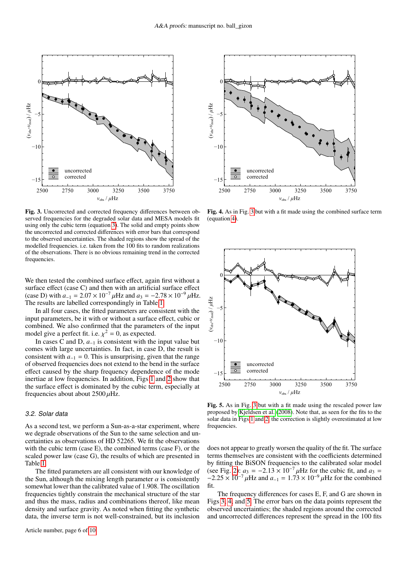

<span id="page-5-0"></span>Fig. 3. Uncorrected and corrected frequency differences between observed frequencies for the degraded solar data and MESA models fit using only the cubic term (equation [3\)](#page-2-2). The solid and empty points show the uncorrected and corrected differences with error bars that correspond to the observed uncertainties. The shaded regions show the spread of the modelled frequencies. i.e. taken from the 100 fits to random realizations of the observations. There is no obvious remaining trend in the corrected frequencies.

We then tested the combined surface effect, again first without a surface effect (case C) and then with an artificial surface effect (case D) with  $a_{-1} = 2.07 \times 10^{-7} \mu$ Hz and  $a_3 = -2.78 \times 10^{-9} \mu$ Hz. The results are labelled correspondingly in Table [1.](#page-4-0)

In all four cases, the fitted parameters are consistent with the input parameters, be it with or without a surface effect, cubic or combined. We also confirmed that the parameters of the input model give a perfect fit. i.e.  $\chi^2 = 0$ , as expected.<br>In cases C and D a, is consistent with the

In cases C and D, *a*<sup>−</sup><sup>1</sup> is consistent with the input value but comes with large uncertainties. In fact, in case D, the result is consistent with  $a_{-1} = 0$ . This is unsurprising, given that the range of observed frequencies does not extend to the bend in the surface effect caused by the sharp frequency dependence of the mode inertiae at low frequencies. In addition, Figs [1](#page-1-0) and [2](#page-1-1) show that the surface effect is dominated by the cubic term, especially at frequencies about about  $2500 \mu$ Hz.

#### 3.2. Solar data

As a second test, we perform a Sun-as-a-star experiment, where we degrade observations of the Sun to the same selection and uncertainties as observations of HD 52265. We fit the observations with the cubic term (case E), the combined terms (case F), or the scaled power law (case G), the results of which are presented in Table [1.](#page-4-0)

The fitted parameters are all consistent with our knowledge of the Sun, although the mixing length parameter  $\alpha$  is consistently somewhat lower than the calibrated value of <sup>1</sup>.908. The oscillation frequencies tightly constrain the mechanical structure of the star and thus the mass, radius and combinations thereof, like mean density and surface gravity. As noted when fitting the synthetic data, the inverse term is not well-constrained, but its inclusion



<span id="page-5-1"></span>Fig. 4. As in Fig. [3](#page-5-0) but with a fit made using the combined surface term (equation [4\)](#page-2-3).



<span id="page-5-2"></span>Fig. 5. As in Fig. [3](#page-5-0) but with a fit made using the rescaled power law proposed by [Kjeldsen et al.](#page-9-7) [\(2008\)](#page-9-7). Note that, as seen for the fits to the solar data in Figs [1](#page-1-0) and [2,](#page-1-1) the correction is slightly overestimated at low frequencies.

does not appear to greatly worsen the quality of the fit. The surface terms themselves are consistent with the coefficients determined by fitting the BiSON frequencies to the calibrated solar model (see Fig. [2\)](#page-1-1):  $a_3 = -2.13 \times 10^{-7} \mu$ Hz for the cubic fit, and  $a_3 =$  $-2.25 \times 10^{-7} \mu$ Hz and  $a_{-1} = 1.73 \times 10^{-9} \mu$ Hz for the combined fit.

The frequency differences for cases E, F, and G are shown in Figs [3,](#page-5-0) [4,](#page-5-1) and [5.](#page-5-2) The error bars on the data points represent the observed uncertainties; the shaded regions around the corrected and uncorrected differences represent the spread in the 100 fits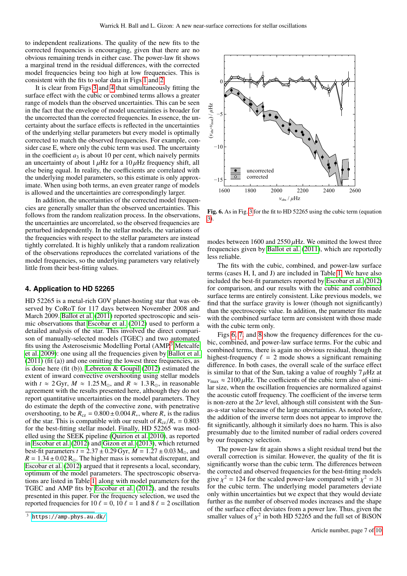to independent realizations. The quality of the new fits to the corrected frequencies is encouraging, given that there are no obvious remaining trends in either case. The power-law fit shows a marginal trend in the residual differences, with the corrected model frequencies being too high at low frequencies. This is consistent with the fits to solar data in Figs [1](#page-1-0) and [2.](#page-1-1)

It is clear from Figs [3](#page-5-0) and [4](#page-5-1) that simultaneously fitting the surface effect with the cubic or combined terms allows a greater range of models than the observed uncertainties. This can be seen in the fact that the envelope of model uncertainties is broader for the uncorrected than the corrected frequencies. In essence, the uncertainty about the surface effects is reflected in the uncertainties of the underlying stellar parameters but every model is optimally corrected to match the observed frequencies. For example, consider case E, where only the cubic term was used. The uncertainty in the coefficient  $a_3$  is about 10 per cent, which naively permits an uncertainty of about  $1 \mu$ Hz for a  $10 \mu$ Hz frequency shift, all else being equal. In reality, the coefficients are correlated with the underlying model parameters, so this estimate is only approximate. When using both terms, an even greater range of models is allowed and the uncertainties are correspondingly larger.

In addition, the uncertainties of the corrected model frequencies are generally smaller than the observed uncertainties. This follows from the random realization process. In the observations, the uncertainties are uncorrelated, so the observed frequencies are perturbed independently. In the stellar models, the variations of the frequencies with respect to the stellar parameters are instead tightly correlated. It is highly unlikely that a random realization of the observations reproduces the correlated variations of the model frequencies, so the underlying parameters vary relatively little from their best-fitting values.

## **4. Application to HD 52265**

HD 52265 is a metal-rich G0V planet-hosting star that was observed by CoRoT for 117 days between November 2008 and March 2009. [Ballot et al.](#page-9-35) [\(2011\)](#page-9-35) reported spectroscopic and seismic observations that [Escobar et al.](#page-9-36) [\(2012\)](#page-9-36) used to perform a detailed analysis of the star. This involved the direct comparison of manually-selected models (TGEC) and two automated fits using the Asteroseismic Modelling Portal (AMP,<sup>[3](#page-6-0)</sup> [Metcalfe](#page-9-37) [et al. 2009\)](#page-9-37): one using all the frequencies given by [Ballot et al.](#page-9-35) [\(2011\)](#page-9-35) (fit (a)) and one omitting the lowest three frequencies, as is done here (fit (b)). [Lebreton & Goupil](#page-9-38) [\(2012\)](#page-9-38) estimated the extent of inward convective overshooting using stellar models with  $t \approx 2$  Gyr,  $M \approx 1.25$  M<sub>o</sub>, and  $R \approx 1.3$  R<sub>o</sub>, in reasonable agreement with the results presented here, although they do not report quantitative uncertainties on the model parameters. They do estimate the depth of the convective zone, with penetrative overshooting, to be  $R_{cz} = 0.800 \pm 0.004 R_*$ , where  $R_*$  is the radius of the star. This is compatible with our result of  $R_{cz}/R_* = 0.803$ for the best-fitting stellar model. Finally, HD 52265 was modelled using the SEEK pipeline [\(Quirion et al. 2010\)](#page-9-39), as reported in [Escobar et al.](#page-9-36) [\(2012\)](#page-9-36) and [Gizon et al.](#page-9-40) [\(2013\)](#page-9-40), which returned best-fit parameters  $t = 2.37 \pm 0.29$  Gyr,  $M = 1.27 \pm 0.03$  M<sub>o</sub>, and  $R = 1.34 \pm 0.02$  R<sub>o</sub>. The higher mass is somewhat discrepant, and [Escobar et al.](#page-9-36) [\(2012\)](#page-9-36) argued that it represents a local, secondary, optimum of the model parameters. The spectroscopic observations are listed in Table [1,](#page-4-0) along with model parameters for the TGEC and AMP fits by [Escobar et al.](#page-9-36) [\(2012\)](#page-9-36), and the results presented in this paper. For the frequency selection, we used the reported frequencies for 10  $\ell = 0$ , 10  $\ell = 1$  and 8  $\ell = 2$  oscillation

uncorrected corrected (*<sup>ν</sup>*obs-*<sup>ν</sup>* m<sub>od</sub>) / μHz<br>-5<br>-1  $-15$   $-$ −10 −5  $0 \not\sim$ *ν*obs / *μ*Hz 1600 1800 2000 2200 2400 2600

<span id="page-6-1"></span>Fig. 6. As in Fig. [3](#page-5-0) for the fit to HD 52265 using the cubic term (equation [3\)](#page-2-2).

modes between 1600 and  $2550 \mu$ Hz. We omitted the lowest three frequencies given by [Ballot et al.](#page-9-35) [\(2011\)](#page-9-35), which are reportedly less reliable.

The fits with the cubic, combined, and power-law surface terms (cases H, I, and J) are included in Table [1.](#page-4-0) We have also included the best-fit parameters reported by [Escobar et al.](#page-9-36) [\(2012\)](#page-9-36) for comparison, and our results with the cubic and combined surface terms are entirely consistent. Like previous models, we find that the surface gravity is lower (though not significantly) than the spectroscopic value. In addition, the parameter fits made with the combined surface term are consistent with those made with the cubic term only.

Figs [6,](#page-6-1) [7,](#page-7-0) and [8](#page-7-1) show the frequency differences for the cubic, combined, and power-law surface terms. For the cubic and combined terms, there is again no obvious residual, though the highest-frequency  $\ell = 2$  mode shows a significant remaining difference. In both cases, the overall scale of the surface effect is similar to that of the Sun, taking a value of roughly  $7 \mu$ Hz at  $v_{\text{max}} \approx 2100 \,\mu\text{Hz}$ . The coefficients of the cubic term also of similar size, when the oscillation frequencies are normalized against the acoustic cutoff frequency. The coefficient of the inverse term is non-zero at the  $2\sigma$  level, although still consistent with the Sunas-a-star value because of the large uncertainties. As noted before, the addition of the inverse term does not appear to improve the fit significantly, although it similarly does no harm. This is also presumably due to the limited number of radial orders covered by our frequency selection.

The power-law fit again shows a slight residual trend but the overall correction is similar. However, the quality of the fit is significantly worse than the cubic term. The differences between the corrected and observed frequencies for the best-fitting models give  $\chi^2 = 124$  for the scaled power-law compared with  $\chi^2 = 31$  for the cubic term. The underlying model parameters deviate for the cubic term. The underlying model parameters deviate only within uncertainties but we expect that they would deviate further as the number of observed modes increases and the shape of the surface effect deviates from a power law. Thus, given the smaller values of  $\chi^2$  in both HD 52265 and the full set of BiSON

<span id="page-6-0"></span> $3$  <https://amp.phys.au.dk/>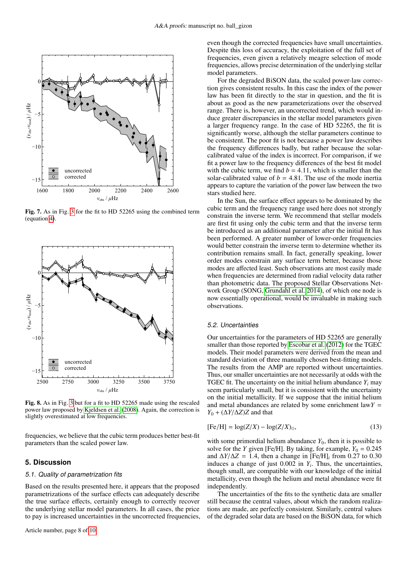

<span id="page-7-0"></span>Fig. 7. As in Fig. [3](#page-5-0) for the fit to HD 52265 using the combined term (equation [4\)](#page-2-3).



<span id="page-7-1"></span>Fig. 8. As in Fig. [3](#page-5-0) but for a fit to HD 52265 made using the rescaled power law proposed by [Kjeldsen et al.](#page-9-7) [\(2008\)](#page-9-7). Again, the correction is slightly overestimated at low frequencies.

frequencies, we believe that the cubic term produces better best-fit parameters than the scaled power law.

# **5. Discussion**

### 5.1. Quality of parametrization fits

Based on the results presented here, it appears that the proposed parametrizations of the surface effects can adequately describe the true surface effects, certainly enough to correctly recover the underlying stellar model parameters. In all cases, the price to pay is increased uncertainties in the uncorrected frequencies,

Article number, page 8 of [10](#page-0-0)

even though the corrected frequencies have small uncertainties. Despite this loss of accuracy, the exploitation of the full set of frequencies, even given a relatively meagre selection of mode frequencies, allows precise determination of the underlying stellar model parameters.

For the degraded BiSON data, the scaled power-law correction gives consistent results. In this case the index of the power law has been fit directly to the star in question, and the fit is about as good as the new parameterizations over the observed range. There is, however, an uncorrected trend, which would induce greater discrepancies in the stellar model parameters given a larger frequency range. In the case of HD 52265, the fit is significantly worse, although the stellar parameters continue to be consistent. The poor fit is not because a power law describes the frequency differences badly, but rather because the solarcalibrated value of the index is incorrect. For comparison, if we fit a power law to the frequency differences of the best fit model with the cubic term, we find  $b = 4.11$ , which is smaller than the solar-calibrated value of  $b = 4.81$ . The use of the mode inertia appears to capture the variation of the power law between the two stars studied here.

In the Sun, the surface effect appears to be dominated by the cubic term and the frequency range used here does not strongly constrain the inverse term. We recommend that stellar models are first fit using only the cubic term and that the inverse term be introduced as an additional parameter after the initial fit has been performed. A greater number of lower-order frequencies would better constrain the inverse term to determine whether its contribution remains small. In fact, generally speaking, lower order modes constrain any surface term better, because those modes are affected least. Such observations are most easily made when frequencies are determined from radial velocity data rather than photometric data. The proposed Stellar Observations Network Group (SONG, [Grundahl et al. 2014\)](#page-9-41), of which one node is now essentially operational, would be invaluable in making such observations.

# 5.2. Uncertainties

Our uncertainties for the parameters of HD 52265 are generally smaller than those reported by [Escobar et al.](#page-9-36) [\(2012\)](#page-9-36) for the TGEC models. Their model parameters were derived from the mean and standard deviation of three manually chosen best-fitting models. The results from the AMP are reported without uncertainties. Thus, our smaller uncertainties are not necessarily at odds with the TGEC fit. The uncertainty on the initial helium abundance  $Y_i$  may seem particularly small, but it is consistent with the uncertainty on the initial metallicity. If we suppose that the initial helium and metal abundances are related by some enrichment law*Y* =  $Y_0 + (\Delta Y/\Delta Z)Z$  and that

$$
[Fe/H] = \log(Z/X) - \log(Z/X)_{\odot},\tag{13}
$$

with some primordial helium abundance  $Y_0$ , then it is possible to solve for the *Y* given [Fe/H]. By taking, for example,  $Y_0 = 0.245$  and  $\Delta Y/\Delta Z = 1.4$ , then a change in [Fe/H]<sub>i</sub> from 0.27 to 0.30 and  $\Delta Y/\Delta Z = 1.4$ , then a change in [Fe/H]<sub>*i*</sub> from 0.27 to 0.30 induces a change of just 0.002 in *Y*. Thus the uncertainties induces a change of just  $0.002$  in  $Y_i$ . Thus, the uncertainties, though small are compatible with our knowledge of the initial though small, are compatible with our knowledge of the initial metallicity, even though the helium and metal abundance were fit independently.

The uncertainties of the fits to the synthetic data are smaller still because the central values, about which the random realizations are made, are perfectly consistent. Similarly, central values of the degraded solar data are based on the BiSON data, for which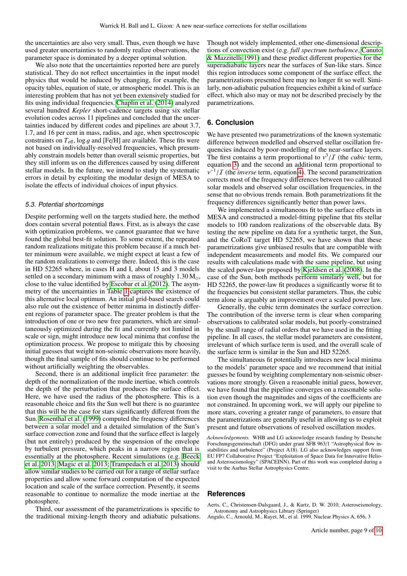the uncertainties are also very small. Thus, even though we have used greater uncertainties to randomly realize observations, the parameter space is dominated by a deeper optimal solution.

We also note that the uncertainties reported here are purely statistical. They do not reflect uncertainties in the input model physics that would be induced by changing, for example, the opacity tables, equation of state, or atmospheric model. This is an interesting problem that has not yet been extensively studied for fits using individual frequencies. [Chaplin et al.](#page-9-42) [\(2014\)](#page-9-42) analyzed several hundred *Kepler* short-cadence targets using six stellar evolution codes across 11 pipelines and concluded that the uncertainties induced by different codes and pipelines are about 3.7, 1.7, and 16 per cent in mass, radius, and age, when spectroscopic constraints on  $T_{\text{eff}}$ ,  $\log q$  and [Fe/H] are available. These fits were not based on individually-resolved frequencies, which presumably constrain models better than overall seismic properties, but they still inform us on the differences caused by using different stellar models. In the future, we intend to study the systematic errors in detail by exploiting the modular design of MESA to isolate the effects of individual choices of input physics.

#### 5.3. Potential shortcomings

Despite performing well on the targets studied here, the method does contain several potential flaws. First, as is always the case with optimization problems, we cannot guarantee that we have found the global best-fit solution. To some extent, the repeated random realizations mitigate this problem because if a much better minimum were available, we might expect at least a few of the random realizations to converge there. Indeed, this is the case in HD 52265 where, in cases H and I, about 15 and 3 models settled on a secondary minimum with a mass of roughly  $1.30 M_{\odot}$ , close to the value identified by [Escobar et al.](#page-9-36) [\(2012\)](#page-9-36). The asymmetry of the uncertainties in Table [1](#page-4-0) captures the existence of this alternative local optimum. An initial grid-based search could also rule out the existence of better minima in distinctly different regions of parameter space. The greater problem is that the introduction of one or two new free parameters, which are simultaneously optimized during the fit and currently not limited in scale or sign, might introduce new local minima that confuse the optimization process. We propose to mitigate this by choosing initial guesses that weight non-seismic observations more heavily, though the final sample of fits should continue to be performed without artificially weighting the observables.

Second, there is an additional implicit free parameter: the depth of the normalization of the mode inertiae, which controls the depth of the perturbation that produces the surface effect. Here, we have used the radius of the photosphere. This is a reasonable choice and fits the Sun well but there is no guarantee that this will be the case for stars significantly different from the Sun. [Rosenthal et al.](#page-9-43) [\(1999\)](#page-9-43) computed the frequency differences between a solar model and a detailed simulation of the Sun's surface convection zone and found that the surface effect is largely (but not entirely) produced by the suspension of the envelope by turbulent pressure, which peaks in a narrow region that is essentially at the photosphere. Recent simulations (e.g. [Beeck](#page-9-44) [et al. 2013;](#page-9-44) [Magic et al. 2013;](#page-9-45) [Trampedach et al. 2013\)](#page-9-46) should allow similar studies to be carried out for a range of stellar surface properties and allow some forward computation of the expected location and scale of the surface correction. Presently, it seems reasonable to continue to normalize the mode inertiae at the photosphere.

Third, our assessment of the parametrizations is specific to the traditional mixing-length theory and adiabatic pulsations. Though not widely implemented, other one-dimensional descriptions of convection exist (e.g. *full spectrum turbulence*, [Canuto](#page-9-47) [& Mazzitelli 1991\)](#page-9-47) and these predict different properties for the superadiabatic layers near the surfaces of Sun-like stars. Since this region introduces some component of the surface effect, the parametrizations presented here may no longer fit so well. Similarly, non-adiabatic pulsation frequencies exhibit a kind of surface effect, which also may or may not be described precisely by the parametrizations.

# **6. Conclusion**

We have presented two parametrizations of the known systematic difference between modelled and observed stellar oscillation frequencies induced by poor-modelling of the near-surface layers. The first contains a term proportional to  $v^3/T$  (the *cubic* term, equation 3) and the second an additional term proportional to equation [3\)](#page-2-2) and the second an additional term proportional to corrects most of the frequency differences between two calibrated  $-\frac{1}{I}$  (the *inverse* term, equation [4\)](#page-2-3). The second parametrization orrects most of the frequency differences between two calibrated solar models and observed solar oscillation frequencies, in the sense that no obvious trends remain. Both parametrizations fit the frequency differences significantly better than power laws.

We implemented a simultaneous fit to the surface effects in MESA and constructed a model-fitting pipeline that fits stellar models to 100 random realizations of the observable data. By testing the new pipeline on data for a synthetic target, the Sun, and the CoRoT target HD 52265, we have shown that these parametrizations give unbiased results that are compatible with independent measurements and model fits. We compared our results with calculations made with the same pipeline, but using the scaled power-law proposed by [Kjeldsen et al.](#page-9-7) [\(2008\)](#page-9-7). In the case of the Sun, both methods perform similarly well, but for HD 52265, the power-law fit produces a significantly worse fit to the frequencies but consistent stellar parameters. Thus, the cubic term alone is arguably an improvement over a scaled power law.

Generally, the cubic term dominates the surface correction. The contribution of the inverse term is clear when comparing observations to calibrated solar models, but poorly-constrained by the small range of radial orders that we have used in the fitting pipeline. In all cases, the stellar model parameters are consistent, irrelevant of which surface term is used, and the overall scale of the surface term is similar in the Sun and HD 52265.

The simultaneous fit potentially introduces new local minima to the models' parameter space and we recommend that initial guesses be found by weighting complementary non-seismic observations more strongly. Given a reasonable initial guess, however, we have found that the pipeline converges on a reasonable solution even though the magnitudes and signs of the coefficients are not constrained. In upcoming work, we will apply our pipeline to more stars, covering a greater range of parameters, to ensure that the parametrizations are generally useful in allowing us to exploit present and future observations of resolved oscillation modes.

*Acknowledgements.* WHB and LG acknowledge research funding by Deutsche Forschungsgemeinschaft (DFG) under grant SFB 963/1 "Astrophysical flow instabilities and turbulence" (Project A18). LG also acknowledges support from EU FP7 Collaborative Project "Exploitation of Space Data for Innovative Helioand Asteroseismology" (SPACEINN). Part of this work was completed during a visit to the Aarhus Stellar Astrophysics Centre.

#### **References**

<span id="page-8-0"></span>Aerts, C., Christensen-Dalsgaard, J., & Kurtz, D. W. 2010, Asteroseismology, Astronomy and Astrophysics Library (Springer)

<span id="page-8-1"></span>Angulo, C., Arnould, M., Rayet, M., et al. 1999, Nuclear Physics A, 656, 3